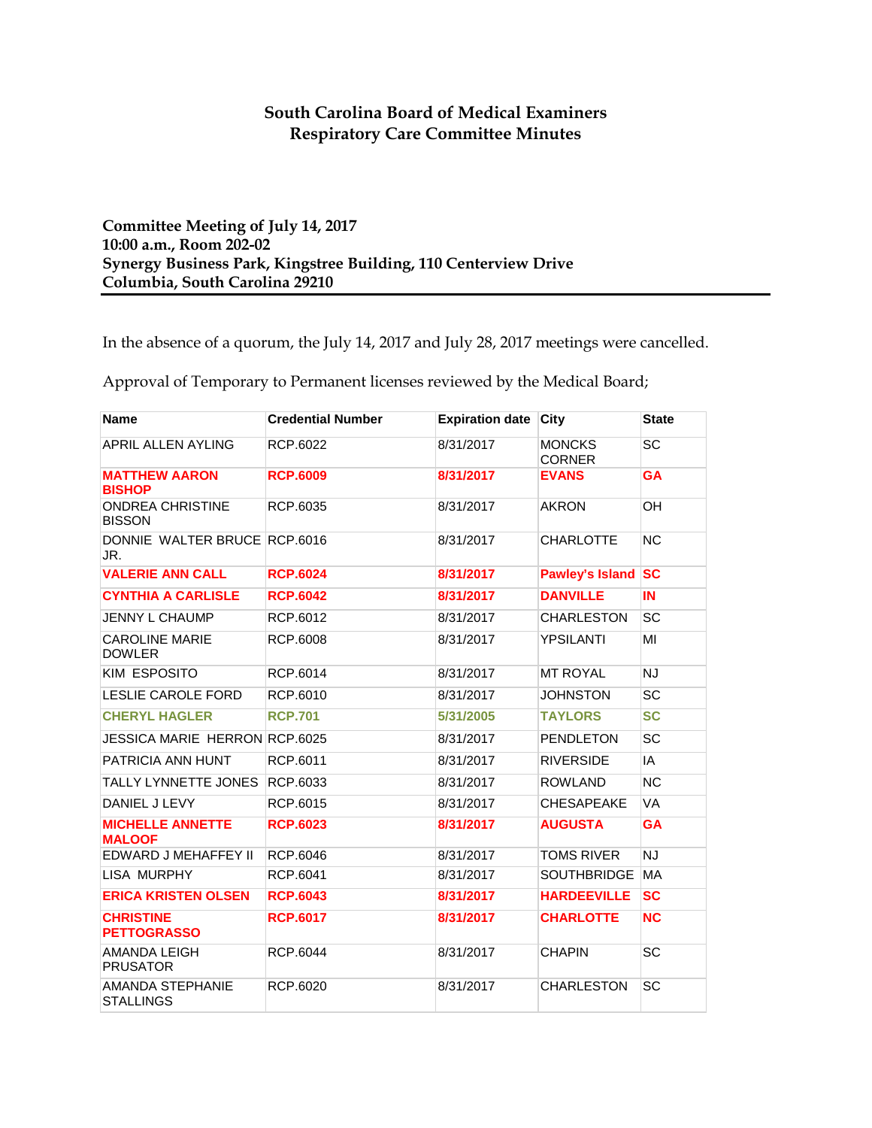## **South Carolina Board of Medical Examiners Respiratory Care Committee Minutes**

**Committee Meeting of July 14, 2017 10:00 a.m., Room 202-02 Synergy Business Park, Kingstree Building, 110 Centerview Drive Columbia, South Carolina 29210**

In the absence of a quorum, the July 14, 2017 and July 28, 2017 meetings were cancelled.

Approval of Temporary to Permanent licenses reviewed by the Medical Board;

| <b>Name</b>                              | <b>Credential Number</b> | <b>Expiration date</b> | City                           | <b>State</b>   |
|------------------------------------------|--------------------------|------------------------|--------------------------------|----------------|
| APRIL ALLEN AYLING                       | RCP.6022                 | 8/31/2017              | <b>MONCKS</b><br><b>CORNER</b> | SC             |
| <b>MATTHEW AARON</b><br><b>BISHOP</b>    | <b>RCP.6009</b>          | 8/31/2017              | <b>EVANS</b>                   | <b>GA</b>      |
| <b>ONDREA CHRISTINE</b><br><b>BISSON</b> | RCP.6035                 | 8/31/2017              | <b>AKRON</b>                   | OH             |
| DONNIE WALTER BRUCE RCP.6016<br>JR.      |                          | 8/31/2017              | <b>CHARLOTTE</b>               | N <sub>C</sub> |
| <b>VALERIE ANN CALL</b>                  | <b>RCP.6024</b>          | 8/31/2017              | <b>Pawley's Island</b>         | <b>SC</b>      |
| <b>CYNTHIA A CARLISLE</b>                | <b>RCP.6042</b>          | 8/31/2017              | <b>DANVILLE</b>                | IN             |
| <b>JENNY L CHAUMP</b>                    | RCP.6012                 | 8/31/2017              | <b>CHARLESTON</b>              | SC             |
| <b>CAROLINE MARIE</b><br><b>DOWLER</b>   | RCP.6008                 | 8/31/2017              | <b>YPSILANTI</b>               | MI             |
| KIM ESPOSITO                             | RCP.6014                 | 8/31/2017              | <b>MT ROYAL</b>                | <b>NJ</b>      |
| LESLIE CAROLE FORD                       | RCP.6010                 | 8/31/2017              | <b>JOHNSTON</b>                | SC             |
| <b>CHERYL HAGLER</b>                     | <b>RCP.701</b>           | 5/31/2005              | <b>TAYLORS</b>                 | <b>SC</b>      |
| <b>JESSICA MARIE HERRON RCP.6025</b>     |                          | 8/31/2017              | <b>PENDLETON</b>               | <b>SC</b>      |
| PATRICIA ANN HUNT                        | RCP.6011                 | 8/31/2017              | <b>RIVERSIDE</b>               | IA             |
| TALLY LYNNETTE JONES                     | RCP.6033                 | 8/31/2017              | <b>ROWLAND</b>                 | N <sub>C</sub> |
| DANIEL J LEVY                            | RCP.6015                 | 8/31/2017              | <b>CHESAPEAKE</b>              | VA             |
| <b>MICHELLE ANNETTE</b><br><b>MALOOF</b> | <b>RCP.6023</b>          | 8/31/2017              | <b>AUGUSTA</b>                 | <b>GA</b>      |
| EDWARD J MEHAFFEY II                     | RCP.6046                 | 8/31/2017              | <b>TOMS RIVER</b>              | <b>NJ</b>      |
| LISA MURPHY                              | RCP.6041                 | 8/31/2017              | <b>SOUTHBRIDGE</b>             | <b>MA</b>      |
| <b>ERICA KRISTEN OLSEN</b>               | <b>RCP.6043</b>          | 8/31/2017              | <b>HARDEEVILLE</b>             | <b>SC</b>      |
| <b>CHRISTINE</b><br><b>PETTOGRASSO</b>   | <b>RCP.6017</b>          | 8/31/2017              | <b>CHARLOTTE</b>               | <b>NC</b>      |
| <b>AMANDA LEIGH</b><br><b>PRUSATOR</b>   | RCP.6044                 | 8/31/2017              | <b>CHAPIN</b>                  | <b>SC</b>      |
| AMANDA STEPHANIE<br><b>STALLINGS</b>     | RCP.6020                 | 8/31/2017              | <b>CHARLESTON</b>              | SC             |